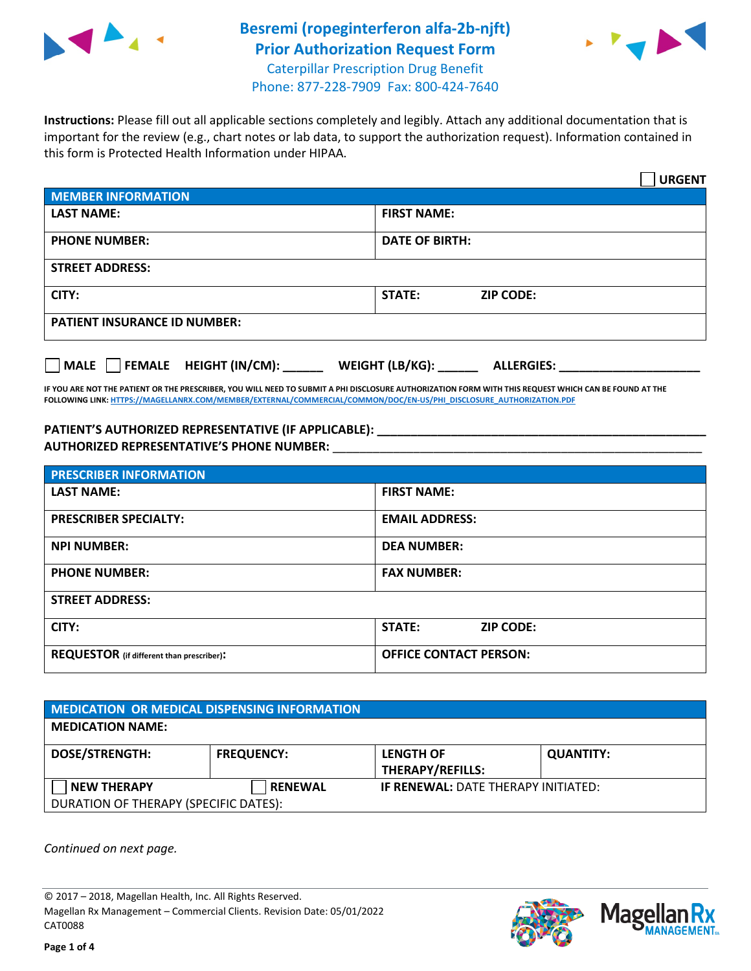

## **Besremi (ropeginterferon alfa-2b-njft) Prior Authorization Request Form** Caterpillar Prescription Drug Benefit



Phone: 877-228-7909 Fax: 800-424-7640

**Instructions:** Please fill out all applicable sections completely and legibly. Attach any additional documentation that is important for the review (e.g., chart notes or lab data, to support the authorization request). Information contained in this form is Protected Health Information under HIPAA.

|                                     | <b>URGENT</b>                        |  |  |  |
|-------------------------------------|--------------------------------------|--|--|--|
| <b>MEMBER INFORMATION</b>           |                                      |  |  |  |
| <b>LAST NAME:</b>                   | <b>FIRST NAME:</b>                   |  |  |  |
| <b>PHONE NUMBER:</b>                | <b>DATE OF BIRTH:</b>                |  |  |  |
| <b>STREET ADDRESS:</b>              |                                      |  |  |  |
| CITY:                               | <b>STATE:</b><br><b>ZIP CODE:</b>    |  |  |  |
| <b>PATIENT INSURANCE ID NUMBER:</b> |                                      |  |  |  |
| FEMALE HEIGHT (IN/CM):<br>  MALE    | WEIGHT (LB/KG):<br><b>ALLERGIES:</b> |  |  |  |

**IF YOU ARE NOT THE PATIENT OR THE PRESCRIBER, YOU WILL NEED TO SUBMIT A PHI DISCLOSURE AUTHORIZATION FORM WITH THIS REQUEST WHICH CAN BE FOUND AT THE FOLLOWING LINK[: HTTPS://MAGELLANRX.COM/MEMBER/EXTERNAL/COMMERCIAL/COMMON/DOC/EN-US/PHI\\_DISCLOSURE\\_AUTHORIZATION.PDF](https://magellanrx.com/member/external/commercial/common/doc/en-us/PHI_Disclosure_Authorization.pdf)**

**PATIENT'S AUTHORIZED REPRESENTATIVE (IF APPLICABLE): \_\_\_\_\_\_\_\_\_\_\_\_\_\_\_\_\_\_\_\_\_\_\_\_\_\_\_\_\_\_\_\_\_\_\_\_\_\_\_\_\_\_\_\_\_\_\_\_\_ AUTHORIZED REPRESENTATIVE'S PHONE NUMBER:** \_\_\_\_\_\_\_\_\_\_\_\_\_\_\_\_\_\_\_\_\_\_\_\_\_\_\_\_\_\_\_\_\_\_\_\_\_\_\_\_\_\_\_\_\_\_\_\_\_\_\_\_\_\_\_

| <b>PRESCRIBER INFORMATION</b>             |                               |  |  |
|-------------------------------------------|-------------------------------|--|--|
| <b>LAST NAME:</b>                         | <b>FIRST NAME:</b>            |  |  |
| <b>PRESCRIBER SPECIALTY:</b>              | <b>EMAIL ADDRESS:</b>         |  |  |
| <b>NPI NUMBER:</b>                        | <b>DEA NUMBER:</b>            |  |  |
| <b>PHONE NUMBER:</b>                      | <b>FAX NUMBER:</b>            |  |  |
| <b>STREET ADDRESS:</b>                    |                               |  |  |
| CITY:                                     | STATE:<br><b>ZIP CODE:</b>    |  |  |
| REQUESTOR (if different than prescriber): | <b>OFFICE CONTACT PERSON:</b> |  |  |

| <b>MEDICATION OR MEDICAL DISPENSING INFORMATION</b> |                   |                                            |                  |  |  |
|-----------------------------------------------------|-------------------|--------------------------------------------|------------------|--|--|
| <b>MEDICATION NAME:</b>                             |                   |                                            |                  |  |  |
| <b>DOSE/STRENGTH:</b>                               | <b>FREQUENCY:</b> | <b>LENGTH OF</b><br>THERAPY/REFILLS:       | <b>QUANTITY:</b> |  |  |
| <b>NEW THERAPY</b>                                  | <b>RENEWAL</b>    | <b>IF RENEWAL: DATE THERAPY INITIATED:</b> |                  |  |  |
| DURATION OF THERAPY (SPECIFIC DATES):               |                   |                                            |                  |  |  |

*Continued on next page.*

© 2017 – 2018, Magellan Health, Inc. All Rights Reserved. Magellan Rx Management – Commercial Clients. Revision Date: 05/01/2022 CAT0088



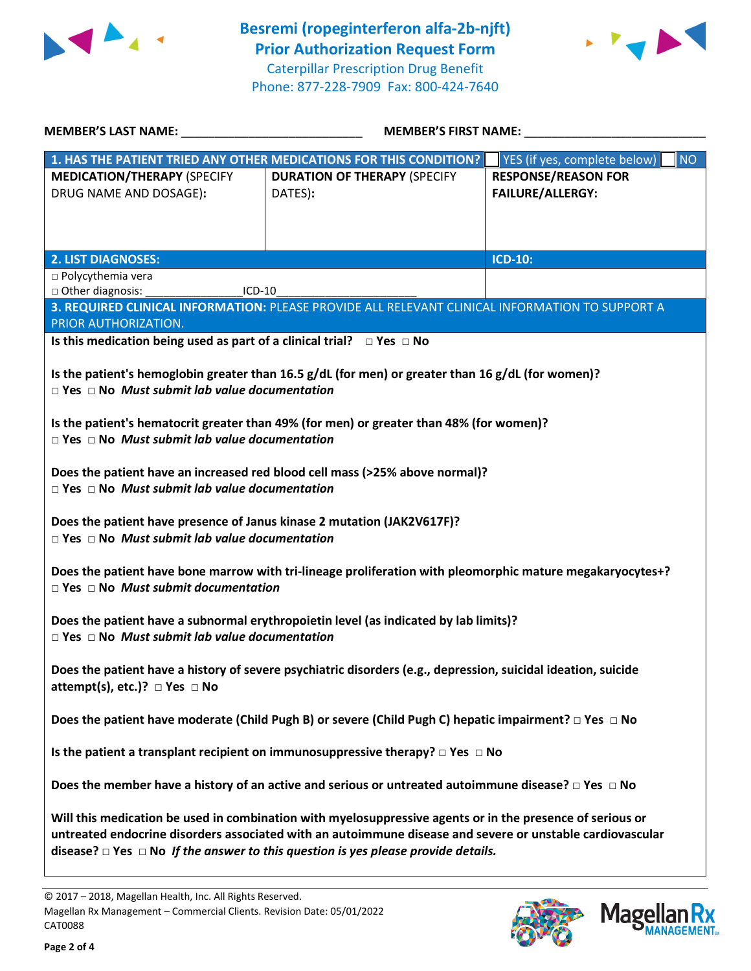



| 1. HAS THE PATIENT TRIED ANY OTHER MEDICATIONS FOR THIS CONDITION?                                                                                                                                                                                                                                                    |                                                |                                                       |  |  |  |  |
|-----------------------------------------------------------------------------------------------------------------------------------------------------------------------------------------------------------------------------------------------------------------------------------------------------------------------|------------------------------------------------|-------------------------------------------------------|--|--|--|--|
|                                                                                                                                                                                                                                                                                                                       |                                                | <b>NO</b><br>YES (if yes, complete below)             |  |  |  |  |
| <b>MEDICATION/THERAPY (SPECIFY</b><br>DRUG NAME AND DOSAGE):                                                                                                                                                                                                                                                          | <b>DURATION OF THERAPY (SPECIFY</b><br>DATES): | <b>RESPONSE/REASON FOR</b><br><b>FAILURE/ALLERGY:</b> |  |  |  |  |
| <b>2. LIST DIAGNOSES:</b>                                                                                                                                                                                                                                                                                             |                                                | <b>ICD-10:</b>                                        |  |  |  |  |
| □ Polycythemia vera                                                                                                                                                                                                                                                                                                   |                                                |                                                       |  |  |  |  |
| □ Other diagnosis:<br>ICD-10                                                                                                                                                                                                                                                                                          |                                                |                                                       |  |  |  |  |
| 3. REQUIRED CLINICAL INFORMATION: PLEASE PROVIDE ALL RELEVANT CLINICAL INFORMATION TO SUPPORT A                                                                                                                                                                                                                       |                                                |                                                       |  |  |  |  |
| PRIOR AUTHORIZATION.                                                                                                                                                                                                                                                                                                  |                                                |                                                       |  |  |  |  |
| Is this medication being used as part of a clinical trial? $\Box$ Yes $\Box$ No                                                                                                                                                                                                                                       |                                                |                                                       |  |  |  |  |
| Is the patient's hemoglobin greater than 16.5 $g/dL$ (for men) or greater than 16 $g/dL$ (for women)?<br>$\Box$ Yes $\Box$ No Must submit lab value documentation                                                                                                                                                     |                                                |                                                       |  |  |  |  |
| Is the patient's hematocrit greater than 49% (for men) or greater than 48% (for women)?<br>$\Box$ Yes $\Box$ No Must submit lab value documentation                                                                                                                                                                   |                                                |                                                       |  |  |  |  |
| Does the patient have an increased red blood cell mass (>25% above normal)?<br>$\Box$ Yes $\Box$ No Must submit lab value documentation                                                                                                                                                                               |                                                |                                                       |  |  |  |  |
| Does the patient have presence of Janus kinase 2 mutation (JAK2V617F)?<br>$\Box$ Yes $\Box$ No Must submit lab value documentation                                                                                                                                                                                    |                                                |                                                       |  |  |  |  |
| Does the patient have bone marrow with tri-lineage proliferation with pleomorphic mature megakaryocytes+?<br>$\Box$ Yes $\Box$ No Must submit documentation                                                                                                                                                           |                                                |                                                       |  |  |  |  |
| Does the patient have a subnormal erythropoietin level (as indicated by lab limits)?<br>$\Box$ Yes $\Box$ No Must submit lab value documentation                                                                                                                                                                      |                                                |                                                       |  |  |  |  |
| Does the patient have a history of severe psychiatric disorders (e.g., depression, suicidal ideation, suicide<br>attempt(s), etc.)? $\Box$ Yes $\Box$ No                                                                                                                                                              |                                                |                                                       |  |  |  |  |
| Does the patient have moderate (Child Pugh B) or severe (Child Pugh C) hepatic impairment? $\Box$ Yes $\Box$ No                                                                                                                                                                                                       |                                                |                                                       |  |  |  |  |
| Is the patient a transplant recipient on immunosuppressive therapy? $\Box$ Yes $\Box$ No                                                                                                                                                                                                                              |                                                |                                                       |  |  |  |  |
| Does the member have a history of an active and serious or untreated autoimmune disease? $\Box$ Yes $\Box$ No                                                                                                                                                                                                         |                                                |                                                       |  |  |  |  |
| Will this medication be used in combination with myelosuppressive agents or in the presence of serious or<br>untreated endocrine disorders associated with an autoimmune disease and severe or unstable cardiovascular<br>disease? $\Box$ Yes $\Box$ No If the answer to this question is yes please provide details. |                                                |                                                       |  |  |  |  |



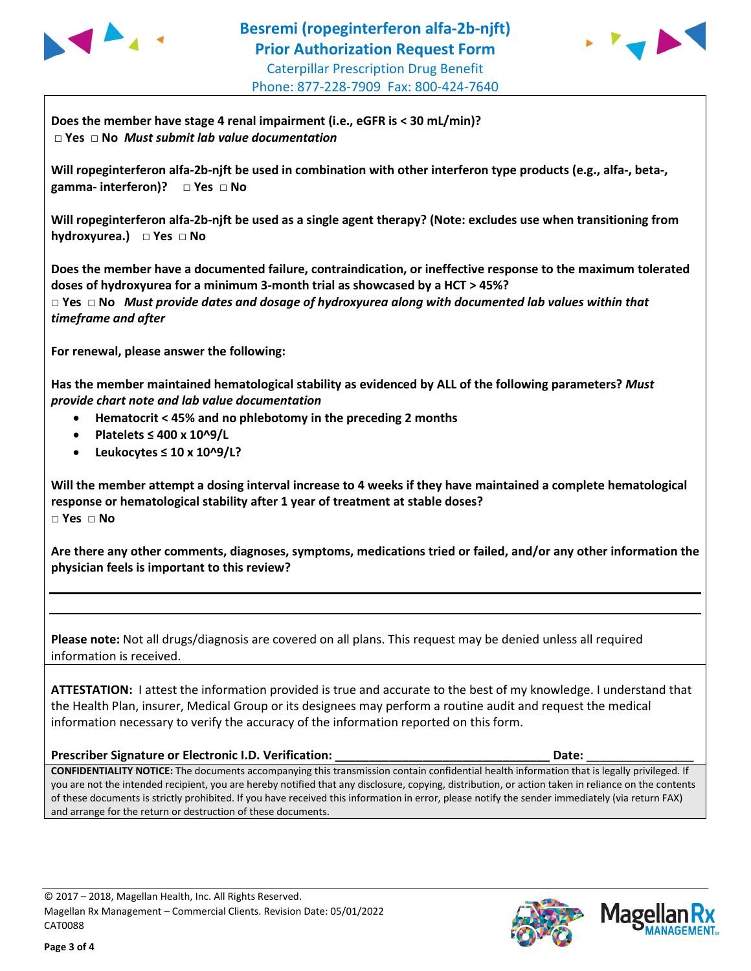



**Does the member have stage 4 renal impairment (i.e., eGFR is < 30 mL/min)? □ Yes □ No** *Must submit lab value documentation*

**Will ropeginterferon alfa-2b-njft be used in combination with other interferon type products (e.g., alfa-, beta-, gamma- interferon)? □ Yes □ No** 

**Will ropeginterferon alfa-2b-njft be used as a single agent therapy? (Note: excludes use when transitioning from hydroxyurea.) □ Yes □ No** 

**Does the member have a documented failure, contraindication, or ineffective response to the maximum tolerated doses of hydroxyurea for a minimum 3-month trial as showcased by a HCT > 45%? □ Yes □ No** *Must provide dates and dosage of hydroxyurea along with documented lab values within that timeframe and after*

**For renewal, please answer the following:**

**Has the member maintained hematological stability as evidenced by ALL of the following parameters?** *Must provide chart note and lab value documentation*

- **Hematocrit < 45% and no phlebotomy in the preceding 2 months**
- **Platelets ≤ 400 x 10^9/L**
- **Leukocytes ≤ 10 x 10^9/L?**

**Will the member attempt a dosing interval increase to 4 weeks if they have maintained a complete hematological response or hematological stability after 1 year of treatment at stable doses? □ Yes □ No** 

**Are there any other comments, diagnoses, symptoms, medications tried or failed, and/or any other information the physician feels is important to this review?**

**Please note:** Not all drugs/diagnosis are covered on all plans. This request may be denied unless all required information is received.

**ATTESTATION:** I attest the information provided is true and accurate to the best of my knowledge. I understand that the Health Plan, insurer, Medical Group or its designees may perform a routine audit and request the medical information necessary to verify the accuracy of the information reported on this form.

**Prescriber Signature or Electronic I.D. Verification: \_\_\_\_\_\_\_\_\_\_\_\_\_\_\_\_\_\_\_\_\_\_\_\_\_\_\_\_\_\_\_\_ Date:** \_\_\_\_\_\_\_\_\_\_\_\_\_\_\_\_

**CONFIDENTIALITY NOTICE:** The documents accompanying this transmission contain confidential health information that is legally privileged. If you are not the intended recipient, you are hereby notified that any disclosure, copying, distribution, or action taken in reliance on the contents of these documents is strictly prohibited. If you have received this information in error, please notify the sender immediately (via return FAX) and arrange for the return or destruction of these documents.